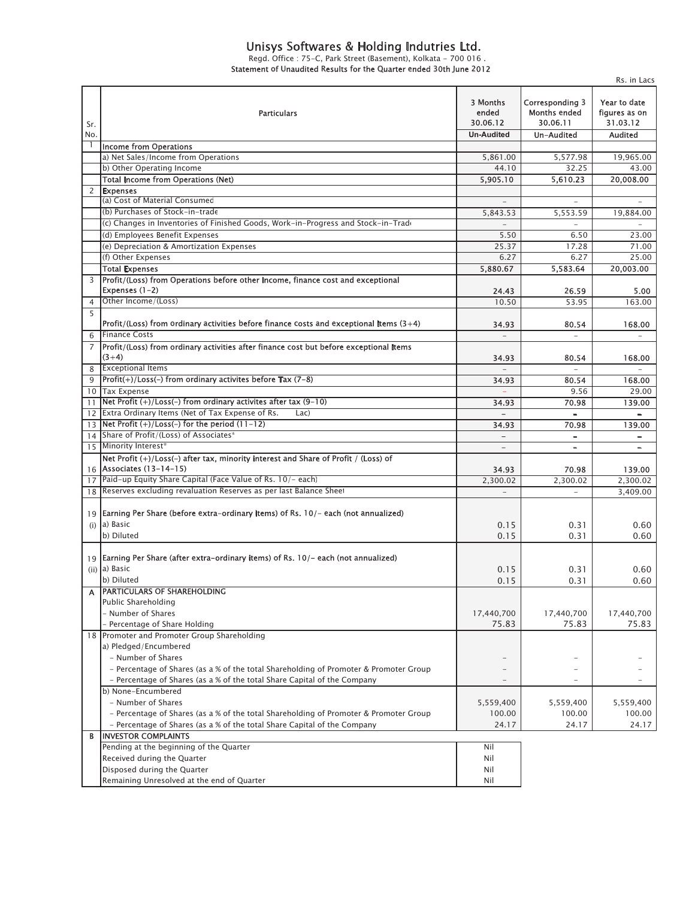## *Unisys Softwares & Holding Indutries Ltd.*

*Regd. Office : 75-C, Park Street (Basement), Kolkata - 700 016 . Statement of Unaudited Results for the Quarter ended 30th June 2012*

|                |                                                                                                                |                                                    |                                                                         | Rs. in Lacs                                                         |
|----------------|----------------------------------------------------------------------------------------------------------------|----------------------------------------------------|-------------------------------------------------------------------------|---------------------------------------------------------------------|
| Sr.<br>No.     | <b>Particulars</b>                                                                                             | 3 Months<br>ended<br>30.06.12<br><b>Un-Audited</b> | <b>Corresponding 3</b><br><b>Months ended</b><br>30.06.11<br>Un-Audited | Year to date<br>figures as on<br>31.03.12<br><b>Audited</b>         |
|                | <b>Income from Operations</b>                                                                                  |                                                    |                                                                         |                                                                     |
|                | a) Net Sales/Income from Operations                                                                            | 5,861.00                                           | 5,577.98                                                                | 19,965.00                                                           |
|                | b) Other Operating Income                                                                                      | 44.10                                              | 32.25                                                                   | 43.00                                                               |
|                | <b>Total Income from Operations (Net)</b>                                                                      | 5,905.10                                           | 5,610.23                                                                | 20,008.00                                                           |
| $\overline{2}$ | <b>Expenses</b>                                                                                                |                                                    |                                                                         |                                                                     |
|                | (a) Cost of Material Consumed                                                                                  |                                                    |                                                                         |                                                                     |
|                | (b) Purchases of Stock-in-trade                                                                                | 5,843.53                                           | 5,553.59                                                                | 19,884.00                                                           |
|                | (c) Changes in Inventories of Finished Goods, Work-in-Progress and Stock-in-Trade                              |                                                    |                                                                         |                                                                     |
|                | (d) Employees Benefit Expenses                                                                                 | 5.50                                               | 6.50                                                                    | 23.00                                                               |
|                | (e) Depreciation & Amortization Expenses                                                                       | 25.37                                              | 17.28                                                                   | 71.00                                                               |
|                | (f) Other Expenses                                                                                             | 6.27                                               | 6.27                                                                    | 25.00                                                               |
|                | <b>Total Expenses</b>                                                                                          | 5,880.67                                           | 5,583.64                                                                | 20,003.00                                                           |
| 3              | Profit/(Loss) from Operations before other Income, finance cost and exceptional                                |                                                    |                                                                         |                                                                     |
|                | Expenses (1-2)                                                                                                 | 24.43                                              | 26.59                                                                   | 5.00                                                                |
| 4              | Other Income/(Loss)                                                                                            | 10.50                                              | 53.95                                                                   | 163.00                                                              |
| 5              |                                                                                                                |                                                    |                                                                         |                                                                     |
|                | Profit/(Loss) from ordinary activities before finance costs and exceptional items $(3+4)$                      | 34.93                                              | 80.54                                                                   | 168.00                                                              |
| 6              | <b>Finance Costs</b>                                                                                           | $\overline{a}$                                     | $\equiv$                                                                | $\equiv$                                                            |
| $\overline{7}$ | Profit/(Loss) from ordinary activities after finance cost but before exceptional items                         |                                                    |                                                                         |                                                                     |
|                | $(3+4)$                                                                                                        | 34.93                                              | 80.54                                                                   | 168.00                                                              |
| 8              | <b>Exceptional Items</b>                                                                                       | $\equiv$                                           | $\sim$                                                                  |                                                                     |
| 9              | $ Profit(+)/Loss(-)$ from ordinary activites before Tax $(7-8)$                                                |                                                    |                                                                         |                                                                     |
|                | 10 Tax Expense                                                                                                 | 34.93                                              | 80.54<br>9.56                                                           | 168.00<br>29.00                                                     |
|                | Net Profit (+)/Loss(-) from ordinary activites after tax (9-10)                                                |                                                    |                                                                         |                                                                     |
| 11             | 12 Extra Ordinary Items (Net of Tax Expense of Rs.<br>Lac)                                                     | 34.93                                              | 70.98                                                                   | 139.00                                                              |
|                | $\frac{13}{13}$ Net Profit (+)/Loss(-) for the period (11-12)                                                  | $\equiv$                                           | $\overline{\phantom{0}}$                                                | $\overline{\phantom{a}}$                                            |
|                |                                                                                                                | 34.93                                              | 70.98                                                                   | 139.00                                                              |
| 14             | Share of Profit/(Loss) of Associates <sup>*</sup>                                                              | $\overline{\phantom{0}}$                           | -                                                                       |                                                                     |
|                | 15 Minority Interest*                                                                                          |                                                    | $\overline{\phantom{0}}$                                                | $\qquad \qquad -$                                                   |
|                | Net Profit (+)/Loss(-) after tax, minority interest and Share of Profit / (Loss) of                            |                                                    |                                                                         |                                                                     |
|                | 16 Associates (13-14-15)                                                                                       | 34.93                                              | 70.98                                                                   | 139.00                                                              |
| 17             | Paid-up Equity Share Capital (Face Value of Rs. 10/- each)                                                     | 2,300.02                                           | 2,300.02                                                                | 2,300.02                                                            |
| 18             | Reserves excluding revaluation Reserves as per last Balance Sheet                                              | $\equiv$                                           | $\overline{\phantom{a}}$                                                | 3,409.00                                                            |
| (i)            | 19 Earning Per Share (before extra-ordinary items) of Rs. 10/- each (not annualized)<br>a) Basic<br>b) Diluted | 0.15<br>0.15                                       | 0.31<br>0.31                                                            | 0.60<br>0.60                                                        |
| 19             | Earning Per Share (after extra-ordinary items) of Rs. 10/- each (not annualized)                               |                                                    |                                                                         |                                                                     |
|                | (ii) a) Basic                                                                                                  |                                                    |                                                                         |                                                                     |
|                | b) Diluted                                                                                                     | 0.15                                               | 0.31                                                                    |                                                                     |
|                |                                                                                                                | 0.15                                               | 0.31                                                                    |                                                                     |
|                | <b>PARTICULARS OF SHAREHOLDING</b>                                                                             |                                                    |                                                                         |                                                                     |
|                | Public Shareholding<br>- Number of Shares                                                                      |                                                    |                                                                         |                                                                     |
|                |                                                                                                                | 17,440,700                                         | 17,440,700                                                              |                                                                     |
|                | - Percentage of Share Holding                                                                                  | 75.83                                              | 75.83                                                                   |                                                                     |
|                | 18 Promoter and Promoter Group Shareholding                                                                    |                                                    |                                                                         |                                                                     |
|                | a) Pledged/Encumbered                                                                                          |                                                    |                                                                         |                                                                     |
|                | - Number of Shares                                                                                             |                                                    |                                                                         |                                                                     |
|                | - Percentage of Shares (as a % of the total Shareholding of Promoter & Promoter Group                          |                                                    |                                                                         |                                                                     |
|                | - Percentage of Shares (as a % of the total Share Capital of the Company                                       |                                                    |                                                                         |                                                                     |
|                | b) None-Encumbered                                                                                             |                                                    |                                                                         |                                                                     |
|                | - Number of Shares                                                                                             | 5,559,400                                          | 5,559,400                                                               |                                                                     |
|                | - Percentage of Shares (as a % of the total Shareholding of Promoter & Promoter Group                          | 100.00                                             | 100.00                                                                  |                                                                     |
|                | - Percentage of Shares (as a % of the total Share Capital of the Company                                       | 24.17                                              | 24.17                                                                   |                                                                     |
| В              | <b>INVESTOR COMPLAINTS</b>                                                                                     |                                                    |                                                                         |                                                                     |
|                | Pending at the beginning of the Quarter                                                                        | Nil                                                |                                                                         |                                                                     |
| A              | Received during the Quarter                                                                                    | Nil                                                |                                                                         |                                                                     |
|                | Disposed during the Quarter<br>Remaining Unresolved at the end of Quarter                                      | Nil<br>Nil                                         |                                                                         | 0.60<br>0.60<br>17,440,700<br>75.83<br>5,559,400<br>100.00<br>24.17 |